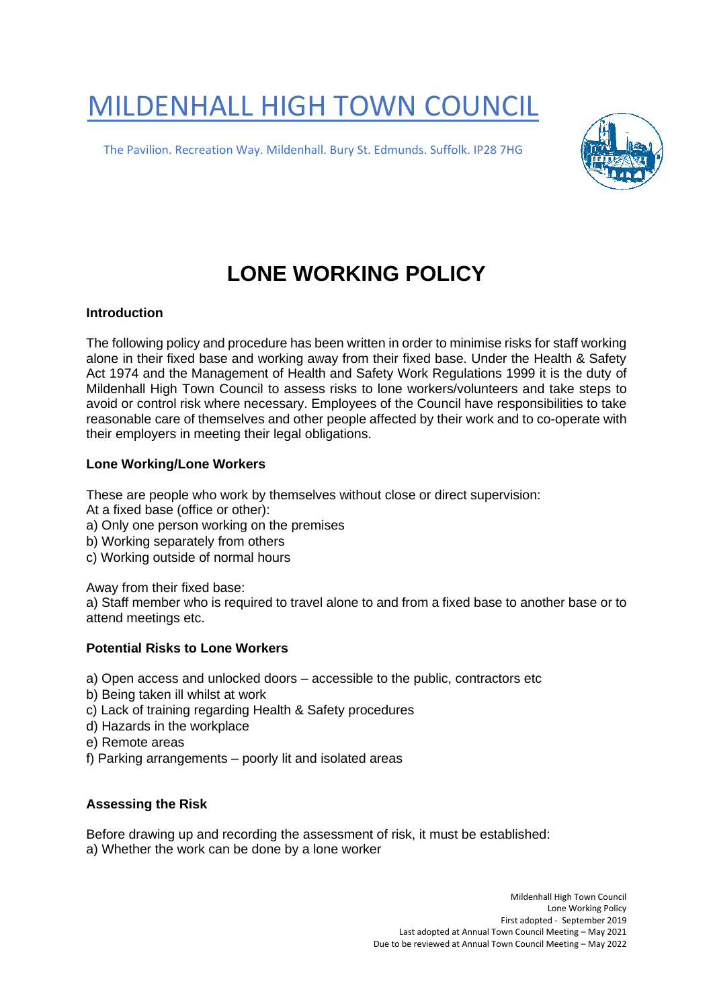# MILDENHALL HIGH TOWN COUNCIL

The Pavilion. Recreation Way. Mildenhall. Bury St. Edmunds. Suffolk. IP28 7HG



# **LONE WORKING POLICY**

# **Introduction**

The following policy and procedure has been written in order to minimise risks for staff working alone in their fixed base and working away from their fixed base. Under the Health & Safety Act 1974 and the Management of Health and Safety Work Regulations 1999 it is the duty of Mildenhall High Town Council to assess risks to lone workers/volunteers and take steps to avoid or control risk where necessary. Employees of the Council have responsibilities to take reasonable care of themselves and other people affected by their work and to co-operate with their employers in meeting their legal obligations.

# **Lone Working/Lone Workers**

These are people who work by themselves without close or direct supervision:

- At a fixed base (office or other):
- a) Only one person working on the premises
- b) Working separately from others
- c) Working outside of normal hours

Away from their fixed base:

a) Staff member who is required to travel alone to and from a fixed base to another base or to attend meetings etc.

#### **Potential Risks to Lone Workers**

a) Open access and unlocked doors – accessible to the public, contractors etc

- b) Being taken ill whilst at work
- c) Lack of training regarding Health & Safety procedures
- d) Hazards in the workplace
- e) Remote areas
- f) Parking arrangements poorly lit and isolated areas

#### **Assessing the Risk**

Before drawing up and recording the assessment of risk, it must be established: a) Whether the work can be done by a lone worker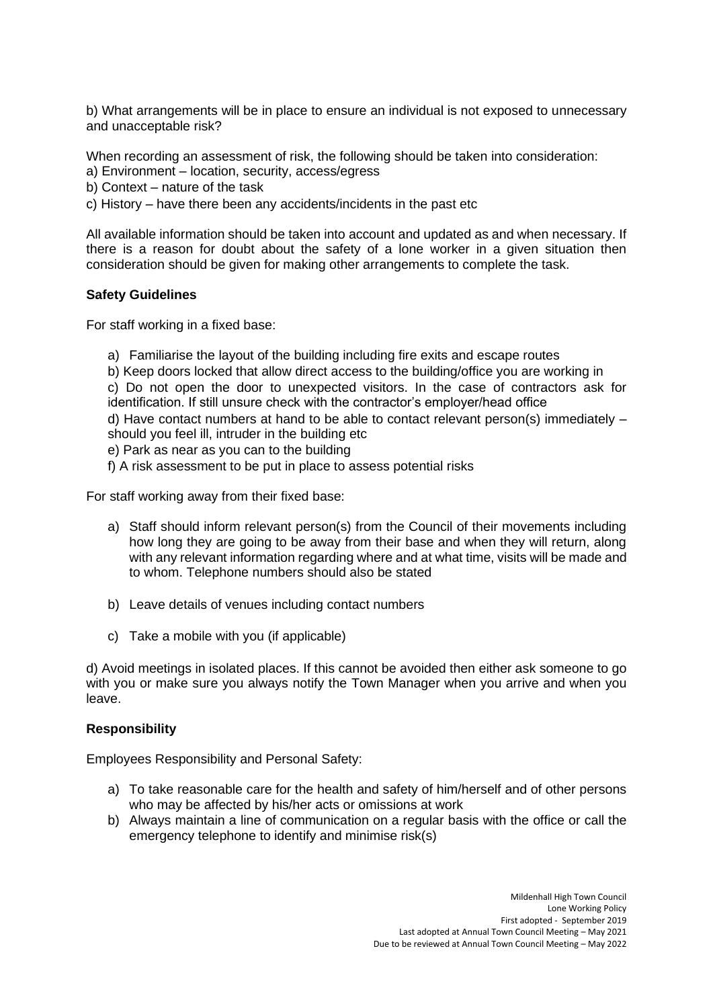b) What arrangements will be in place to ensure an individual is not exposed to unnecessary and unacceptable risk?

When recording an assessment of risk, the following should be taken into consideration:

a) Environment – location, security, access/egress

b) Context – nature of the task

c) History – have there been any accidents/incidents in the past etc

All available information should be taken into account and updated as and when necessary. If there is a reason for doubt about the safety of a lone worker in a given situation then consideration should be given for making other arrangements to complete the task.

# **Safety Guidelines**

For staff working in a fixed base:

- a) Familiarise the layout of the building including fire exits and escape routes
- b) Keep doors locked that allow direct access to the building/office you are working in

c) Do not open the door to unexpected visitors. In the case of contractors ask for identification. If still unsure check with the contractor's employer/head office

d) Have contact numbers at hand to be able to contact relevant person(s) immediately – should you feel ill, intruder in the building etc

- e) Park as near as you can to the building
- f) A risk assessment to be put in place to assess potential risks

For staff working away from their fixed base:

- a) Staff should inform relevant person(s) from the Council of their movements including how long they are going to be away from their base and when they will return, along with any relevant information regarding where and at what time, visits will be made and to whom. Telephone numbers should also be stated
- b) Leave details of venues including contact numbers
- c) Take a mobile with you (if applicable)

d) Avoid meetings in isolated places. If this cannot be avoided then either ask someone to go with you or make sure you always notify the Town Manager when you arrive and when you leave.

# **Responsibility**

Employees Responsibility and Personal Safety:

- a) To take reasonable care for the health and safety of him/herself and of other persons who may be affected by his/her acts or omissions at work
- b) Always maintain a line of communication on a regular basis with the office or call the emergency telephone to identify and minimise risk(s)